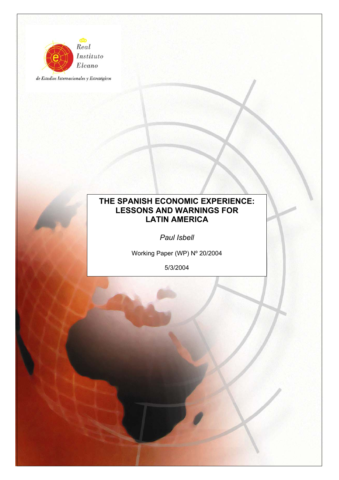

de Estudios Internacionales y Estratégicos

# **THE SPANISH ECONOMIC EXPERIENCE: LESSONS AND WARNINGS FOR LATIN AMERICA**

*Paul Isbell* 

Working Paper (WP) Nº 20/2004

5/3/2004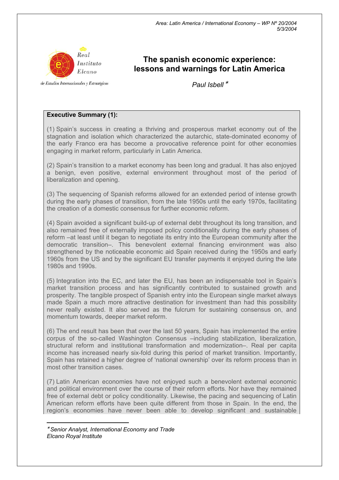

# **The spanish economic experience: lessons and warnings for Latin America**

de Estudios Internacionales y Estratégicos

*Paul Isbell* <sup>∗</sup>

# **Executive Summary (1):**

(1) Spain's success in creating a thriving and prosperous market economy out of the stagnation and isolation which characterized the autarchic, state-dominated economy of the early Franco era has become a provocative reference point for other economies engaging in market reform, particularly in Latin America.

(2) Spain's transition to a market economy has been long and gradual. It has also enjoyed a benign, even positive, external environment throughout most of the period of liberalization and opening.

(3) The sequencing of Spanish reforms allowed for an extended period of intense growth during the early phases of transition, from the late 1950s until the early 1970s, facilitating the creation of a domestic consensus for further economic reform.

(4) Spain avoided a significant build-up of external debt throughout its long transition, and also remained free of externally imposed policy conditionality during the early phases of reform –at least until it began to negotiate its entry into the European community after the democratic transition–. This benevolent external financing environment was also strengthened by the noticeable economic aid Spain received during the 1950s and early 1960s from the US and by the significant EU transfer payments it enjoyed during the late 1980s and 1990s.

(5) Integration into the EC, and later the EU, has been an indispensable tool in Spain's market transition process and has significantly contributed to sustained growth and prosperity. The tangible prospect of Spanish entry into the European single market always made Spain a much more attractive destination for investment than had this possibility never really existed. It also served as the fulcrum for sustaining consensus on, and momentum towards, deeper market reform.

(6) The end result has been that over the last 50 years, Spain has implemented the entire corpus of the so-called Washington Consensus –including stabilization, liberalization, structural reform and institutional transformation and modernization–. Real per capita income has increased nearly six-fold during this period of market transition. Importantly, Spain has retained a higher degree of 'national ownership' over its reform process than in most other transition cases.

(7) Latin American economies have not enjoyed such a benevolent external economic and political environment over the course of their reform efforts. Nor have they remained free of external debt or policy conditionality. Likewise, the pacing and sequencing of Latin American reform efforts have been quite different from those in Spain. In the end, the region's economies have never been able to develop significant and sustainable

<sup>∗</sup> *Senior Analyst, International Economy and Trade Elcano Royal Institute* 

 $\overline{a}$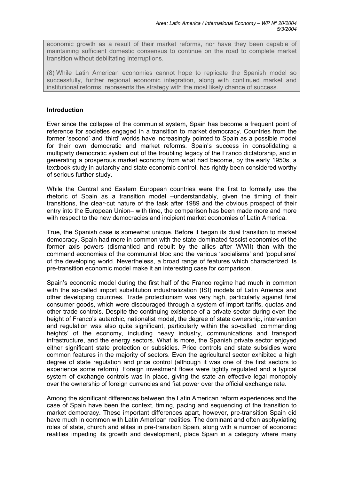economic growth as a result of their market reforms, nor have they been capable of maintaining sufficient domestic consensus to continue on the road to complete market transition without debilitating interruptions.

(8) While Latin American economies cannot hope to replicate the Spanish model so successfully, further regional economic integration, along with continued market and institutional reforms, represents the strategy with the most likely chance of success.

# **Introduction**

Ever since the collapse of the communist system, Spain has become a frequent point of reference for societies engaged in a transition to market democracy. Countries from the former 'second' and 'third' worlds have increasingly pointed to Spain as a possible model for their own democratic and market reforms. Spain's success in consolidating a multiparty democratic system out of the troubling legacy of the Franco dictatorship, and in generating a prosperous market economy from what had become, by the early 1950s, a textbook study in autarchy and state economic control, has rightly been considered worthy of serious further study.

While the Central and Eastern European countries were the first to formally use the rhetoric of Spain as a transition model –understandably, given the timing of their transitions, the clear-cut nature of the task after 1989 and the obvious prospect of their entry into the European Union– with time, the comparison has been made more and more with respect to the new democracies and incipient market economies of Latin America.

True, the Spanish case is somewhat unique. Before it began its dual transition to market democracy, Spain had more in common with the state-dominated fascist economies of the former axis powers (dismantled and rebuilt by the allies after WWII) than with the command economies of the communist bloc and the various 'socialisms' and 'populisms' of the developing world. Nevertheless, a broad range of features which characterized its pre-transition economic model make it an interesting case for comparison.

Spain's economic model during the first half of the Franco regime had much in common with the so-called import substitution industrialization (ISI) models of Latin America and other developing countries. Trade protectionism was very high, particularly against final consumer goods, which were discouraged through a system of import tariffs, quotas and other trade controls. Despite the continuing existence of a private sector during even the height of Franco's autarchic, nationalist model, the degree of state ownership, intervention and regulation was also quite significant, particularly within the so-called 'commanding heights' of the economy, including heavy industry, communications and transport infrastructure, and the energy sectors. What is more, the Spanish private sector enjoyed either significant state protection or subsidies. Price controls and state subsidies were common features in the majority of sectors. Even the agricultural sector exhibited a high degree of state regulation and price control (although it was one of the first sectors to experience some reform). Foreign investment flows were tightly regulated and a typical system of exchange controls was in place, giving the state an effective legal monopoly over the ownership of foreign currencies and fiat power over the official exchange rate.

Among the significant differences between the Latin American reform experiences and the case of Spain have been the context, timing, pacing and sequencing of the transition to market democracy. These important differences apart, however, pre-transition Spain did have much in common with Latin American realities. The dominant and often asphyxiating roles of state, church and elites in pre-transition Spain, along with a number of economic realities impeding its growth and development, place Spain in a category where many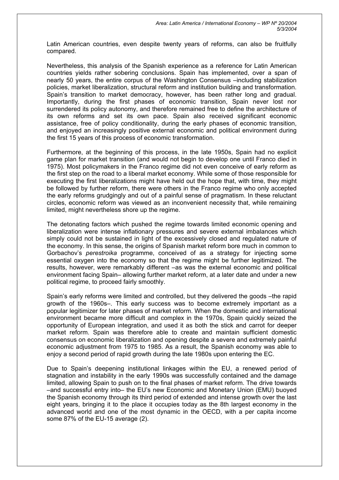Latin American countries, even despite twenty years of reforms, can also be fruitfully compared.

Nevertheless, this analysis of the Spanish experience as a reference for Latin American countries yields rather sobering conclusions. Spain has implemented, over a span of nearly 50 years, the entire corpus of the Washington Consensus –including stabilization policies, market liberalization, structural reform and institution building and transformation. Spain's transition to market democracy, however, has been rather long and gradual. Importantly, during the first phases of economic transition, Spain never lost nor surrendered its policy autonomy, and therefore remained free to define the architecture of its own reforms and set its own pace. Spain also received significant economic assistance, free of policy conditionality, during the early phases of economic transition, and enjoyed an increasingly positive external economic and political environment during the first 15 years of this process of economic transformation.

Furthermore, at the beginning of this process, in the late 1950s, Spain had no explicit game plan for market transition (and would not begin to develop one until Franco died in 1975). Most policymakers in the Franco regime did not even conceive of early reform as the first step on the road to a liberal market economy. While some of those responsible for executing the first liberalizations might have held out the hope that, with time, they might be followed by further reform, there were others in the Franco regime who only accepted the early reforms grudgingly and out of a painful sense of pragmatism. In these reluctant circles, economic reform was viewed as an inconvenient necessity that, while remaining limited, might nevertheless shore up the regime.

The detonating factors which pushed the regime towards limited economic opening and liberalization were intense inflationary pressures and severe external imbalances which simply could not be sustained in light of the excessively closed and regulated nature of the economy. In this sense, the origins of Spanish market reform bore much in common to Gorbachov's *perestroika* programme, conceived of as a strategy for injecting some essential oxygen into the economy so that the regime might be further legitimized. The results, however, were remarkably different –as was the external economic and political environment facing Spain– allowing further market reform, at a later date and under a new political regime, to proceed fairly smoothly.

Spain's early reforms were limited and controlled, but they delivered the goods –the rapid growth of the 1960s–. This early success was to become extremely important as a popular legitimizer for later phases of market reform. When the domestic and international environment became more difficult and complex in the 1970s, Spain quickly seized the opportunity of European integration, and used it as both the stick and carrot for deeper market reform. Spain was therefore able to create and maintain sufficient domestic consensus on economic liberalization and opening despite a severe and extremely painful economic adjustment from 1975 to 1985. As a result, the Spanish economy was able to enjoy a second period of rapid growth during the late 1980s upon entering the EC.

Due to Spain's deepening institutional linkages within the EU, a renewed period of stagnation and instability in the early 1990s was successfully contained and the damage limited, allowing Spain to push on to the final phases of market reform. The drive towards –and successful entry into– the EU's new Economic and Monetary Union (EMU) buoyed the Spanish economy through its third period of extended and intense growth over the last eight years, bringing it to the place it occupies today as the 8th largest economy in the advanced world and one of the most dynamic in the OECD, with a per capita income some 87% of the EU-15 average (2).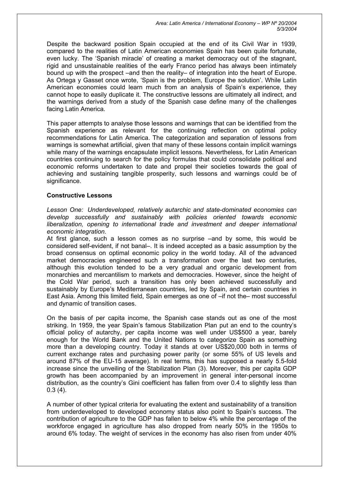*Area: Latin America / International Economy – WP Nº 20/2004 5/3/2004* 

Despite the backward position Spain occupied at the end of its Civil War in 1939, compared to the realities of Latin American economies Spain has been quite fortunate, even lucky. The 'Spanish miracle' of creating a market democracy out of the stagnant, rigid and unsustainable realities of the early Franco period has always been intimately bound up with the prospect –and then the reality– of integration into the heart of Europe. As Ortega y Gasset once wrote, 'Spain is the problem, Europe the solution'. While Latin American economies could learn much from an analysis of Spain's experience, they cannot hope to easily duplicate it. The constructive lessons are ultimately all indirect, and the warnings derived from a study of the Spanish case define many of the challenges facing Latin America.

This paper attempts to analyse those lessons and warnings that can be identified from the Spanish experience as relevant for the continuing reflection on optimal policy recommendations for Latin America. The categorization and separation of lessons from warnings is somewhat artificial, given that many of these lessons contain implicit warnings while many of the warnings encapsulate implicit lessons. Nevertheless, for Latin American countries continuing to search for the policy formulas that could consolidate political and economic reforms undertaken to date and propel their societies towards the goal of achieving and sustaining tangible prosperity, such lessons and warnings could be of significance.

## **Constructive Lessons**

*Lesson One: Underdeveloped, relatively autarchic and state-dominated economies can develop successfully and sustainably with policies oriented towards economic liberalization, opening to international trade and investment and deeper international economic integration.*

At first glance, such a lesson comes as no surprise –and by some, this would be considered self-evident, if not banal–. It is indeed accepted as a basic assumption by the broad consensus on optimal economic policy in the world today. All of the advanced market democracies engineered such a transformation over the last two centuries, although this evolution tended to be a very gradual and organic development from monarchies and mercantilism to markets and democracies. However, since the height of the Cold War period, such a transition has only been achieved successfully and sustainably by Europe's Mediterranean countries, led by Spain, and certain countries in East Asia. Among this limited field, Spain emerges as one of –if not the– most successful and dynamic of transition cases.

On the basis of per capita income, the Spanish case stands out as one of the most striking. In 1959, the year Spain's famous Stabilization Plan put an end to the country's official policy of autarchy, per capita income was well under US\$500 a year, barely enough for the World Bank and the United Nations to categorize Spain as something more than a developing country. Today it stands at over US\$20,000 both in terms of current exchange rates and purchasing power parity (or some 55% of US levels and around 87% of the EU-15 average). In real terms, this has supposed a nearly 5.5-fold increase since the unveiling of the Stabilization Plan (3). Moreover, this per capita GDP growth has been accompanied by an improvement in general inter-personal income distribution, as the country's Gini coefficient has fallen from over 0.4 to slightly less than  $0.3(4)$ .

A number of other typical criteria for evaluating the extent and sustainability of a transition from underdeveloped to developed economy status also point to Spain's success. The contribution of agriculture to the GDP has fallen to below 4% while the percentage of the workforce engaged in agriculture has also dropped from nearly 50% in the 1950s to around 6% today. The weight of services in the economy has also risen from under 40%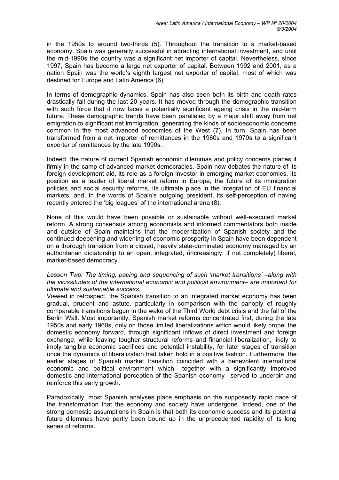in the 1950s to around two-thirds (5). Throughout the transition to a market-based economy, Spain was generally successful in attracting international investment, and until the mid-1990s the country was a significant net importer of capital. Nevertheless, since 1997, Spain has become a large net exporter of capital. Between 1992 and 2001, as a nation Spain was the world's eighth largest net exporter of capital, most of which was destined for Europe and Latin America (6).

In terms of demographic dynamics, Spain has also seen both its birth and death rates drastically fall during the last 20 years. It has moved through the demographic transition with such force that it now faces a potentially significant ageing crisis in the mid-term future. These demographic trends have been paralleled by a major shift away from net emigration to significant net immigration, generating the kinds of socioeconomic concerns common in the most advanced economies of the West (7). In turn, Spain has been transformed from a net importer of remittances in the 1960s and 1970s to a significant exporter of remittances by the late 1990s.

Indeed, the nature of current Spanish economic dilemmas and policy concerns places it firmly in the camp of advanced market democracies. Spain now debates the nature of its foreign development aid, its role as a foreign investor in emerging market economies, its position as a leader of liberal market reform in Europe, the future of its immigration policies and social security reforms, its ultimate place in the integration of EU financial markets, and, in the words of Spain's outgoing president, its self-perception of having recently entered the 'big leagues' of the international arena (8).

None of this would have been possible or sustainable without well-executed market reform. A strong consensus among economists and informed commentators both inside and outside of Spain maintains that the modernization of Spanish society and the continued deepening and widening of economic prosperity in Spain have been dependent on a thorough transition from a closed, heavily state-dominated economy managed by an authoritarian dictatorship to an open, integrated, (increasingly, if not completely) liberal, market-based democracy.

#### *Lesson Two: The timing, pacing and sequencing of such 'market transitions' –along with the vicissitudes of the international economic and political environment– are important for ultimate and sustainable success*.

Viewed in retrospect, the Spanish transition to an integrated market economy has been gradual, prudent and astute, particularly in comparison with the panoply of roughly comparable transitions begun in the wake of the Third World debt crisis and the fall of the Berlin Wall. Most importantly, Spanish market reforms concentrated first, during the late 1950s and early 1960s, only on those limited liberalizations which would likely propel the domestic economy forward, through significant inflows of direct investment and foreign exchange, while leaving tougher structural reforms and financial liberalization, likely to imply tangible economic sacrifices and potential instability, for later stages of transition once the dynamics of liberalization had taken hold in a positive fashion. Furthermore, the earlier stages of Spanish market transition coincided with a benevolent international economic and political environment which –together with a significantly improved domestic and international perception of the Spanish economy– served to underpin and reinforce this early growth.

Paradoxically, most Spanish analyses place emphasis on the supposedly rapid pace of the transformation that the economy and society have undergone. Indeed, one of the strong domestic assumptions in Spain is that both its economic success and its potential future dilemmas have partly been bound up in the unprecedented rapidity of its long series of reforms.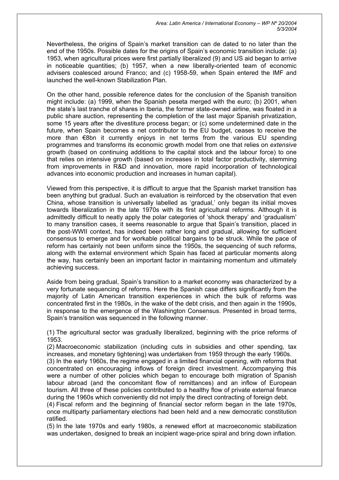Nevertheless, the origins of Spain's market transition can de dated to no later than the end of the 1950s. Possible dates for the origins of Spain's economic transition include: (a) 1953, when agricultural prices were first partially liberalized (9) and US aid began to arrive in noticeable quantities; (b) 1957, when a new liberally-oriented team of economic advisers coalesced around Franco; and (c) 1958-59, when Spain entered the IMF and launched the well-known Stabilization Plan.

On the other hand, possible reference dates for the conclusion of the Spanish transition might include: (a) 1999, when the Spanish peseta merged with the euro; (b) 2001, when the state's last tranche of shares in Iberia, the former state-owned airline, was floated in a public share auction, representing the completion of the last major Spanish privatization, some 15 years after the divestiture process began; or (c) some undetermined date in the future, when Spain becomes a net contributor to the EU budget, ceases to receive the more than €8bn it currently enjoys in net terms from the various EU spending programmes and transforms its economic growth model from one that relies on *extensive*  growth (based on continuing additions to the capital stock and the labour force) to one that relies on intensive growth (based on increases in total factor productivity, stemming from improvements in R&D and innovation, more rapid incorporation of technological advances into economic production and increases in human capital).

Viewed from this perspective, it is difficult to argue that the Spanish market transition has been anything but gradual. Such an evaluation is reinforced by the observation that even China, whose transition is universally labelled as 'gradual,' only began its initial moves towards liberalization in the late 1970s with its first agricultural reforms. Although it is admittedly difficult to neatly apply the polar categories of 'shock therapy' and 'gradualism' to many transition cases, it seems reasonable to argue that Spain's transition, placed in the post-WWII context, has indeed been rather long and gradual, allowing for sufficient consensus to emerge and for workable political bargains to be struck. While the pace of reform has certainly not been uniform since the 1950s, the sequencing of such reforms, along with the external environment which Spain has faced at particular moments along the way, has certainly been an important factor in maintaining momentum and ultimately achieving success.

Aside from being gradual, Spain's transition to a market economy was characterized by a very fortunate sequencing of reforms. Here the Spanish case differs significantly from the majority of Latin American transition experiences in which the bulk of reforms was concentrated first in the 1980s, in the wake of the debt crisis, and then again in the 1990s, in response to the emergence of the Washington Consensus. Presented in broad terms, Spain's transition was sequenced in the following manner.

(1) The agricultural sector was gradually liberalized, beginning with the price reforms of 1953.

(2) Macroeconomic stabilization (including cuts in subsidies and other spending, tax increases, and monetary tightening) was undertaken from 1959 through the early 1960s. (3) In the early 1960s, the regime engaged in a limited financial opening, with reforms that concentrated on encouraging inflows of foreign direct investment. Accompanying this were a number of other policies which began to encourage both migration of Spanish labour abroad (and the concomitant flow of remittances) and an inflow of European tourism. All three of these policies contributed to a healthy flow of private external finance during the 1960s which conveniently did not imply the direct contracting of foreign debt.

(4) Fiscal reform and the beginning of financial sector reform began in the late 1970s, once multiparty parliamentary elections had been held and a new democratic constitution ratified.

(5) In the late 1970s and early 1980s, a renewed effort at macroeconomic stabilization was undertaken, designed to break an incipient wage-price spiral and bring down inflation.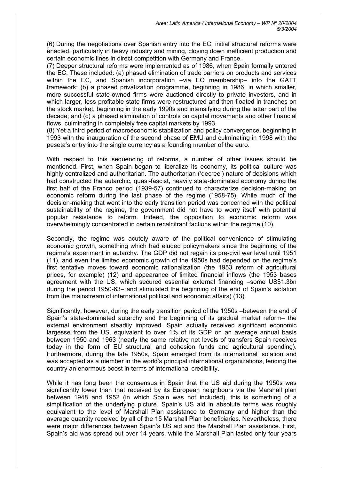(6) During the negotiations over Spanish entry into the EC, initial structural reforms were enacted, particularly in heavy industry and mining, closing down inefficient production and certain economic lines in direct competition with Germany and France.

(7) Deeper structural reforms were implemented as of 1986, when Spain formally entered the EC. These included: (a) phased elimination of trade barriers on products and services within the EC, and Spanish incorporation –via EC membership– into the GATT framework; (b) a phased privatization programme, beginning in 1986, in which smaller, more successful state-owned firms were auctioned directly to private investors, and in which larger, less profitable state firms were restructured and then floated in tranches on the stock market, beginning in the early 1990s and intensifying during the latter part of the decade; and (c) a phased elimination of controls on capital movements and other financial flows, culminating in completely free capital markets by 1993.

(8) Yet a third period of macroeconomic stabilization and policy convergence, beginning in 1993 with the inauguration of the second phase of EMU and culminating in 1998 with the peseta's entry into the single currency as a founding member of the euro.

With respect to this sequencing of reforms, a number of other issues should be mentioned. First, when Spain began to liberalize its economy, its political culture was highly centralized and authoritarian. The authoritarian ('decree') nature of decisions which had constructed the autarchic, quasi-fascist, heavily state-dominated economy during the first half of the Franco period (1939-57) continued to characterize decision-making on economic reform during the last phase of the regime (1958-75). While much of the decision-making that went into the early transition period was concerned with the political sustainability of the regime, the government did not have to worry itself with potential popular resistance to reform. Indeed, the opposition to economic reform was overwhelmingly concentrated in certain recalcitrant factions within the regime (10).

Secondly, the regime was acutely aware of the political convenience of stimulating economic growth, something which had eluded policymakers since the beginning of the regime's experiment in autarchy. The GDP did not regain its pre-civil war level until 1951 (11), and even the limited economic growth of the 1950s had depended on the regime's first tentative moves toward economic rationalization (the 1953 reform of agricultural prices, for example) (12) and appearance of limited financial inflows (the 1953 bases agreement with the US, which secured essential external financing –some US\$1.3bn during the period 1950-63– and stimulated the beginning of the end of Spain's isolation from the mainstream of international political and economic affairs) (13).

Significantly, however, during the early transition period of the 1950s –between the end of Spain's state-dominated autarchy and the beginning of its gradual market reform– the external environment steadily improved. Spain actually received significant economic largesse from the US, equivalent to over 1% of its GDP on an average annual basis between 1950 and 1963 (nearly the same relative net levels of transfers Spain receives today in the form of EU structural and cohesion funds and agricultural spending). Furthermore, during the late 1950s, Spain emerged from its international isolation and was accepted as a member in the world's principal international organizations, lending the country an enormous boost in terms of international credibility.

While it has long been the consensus in Spain that the US aid during the 1950s was significantly lower than that received by its European neighbours via the Marshall plan between 1948 and 1952 (in which Spain was not included), this is something of a simplification of the underlying picture. Spain's US aid in absolute terms was roughly equivalent to the level of Marshall Plan assistance to Germany and higher than the average quantity received by all of the 15 Marshall Plan beneficiaries. Nevertheless, there were major differences between Spain's US aid and the Marshall Plan assistance. First, Spain's aid was spread out over 14 years, while the Marshall Plan lasted only four years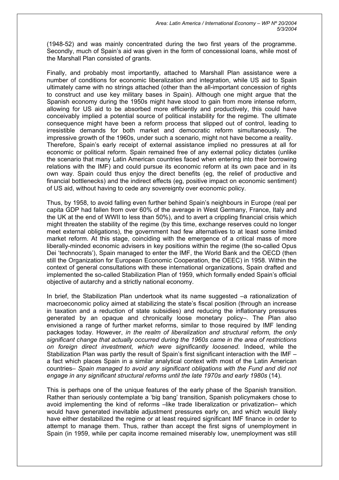(1948-52) and was mainly concentrated during the two first years of the programme. Secondly, much of Spain's aid was given in the form of concessional loans, while most of the Marshall Plan consisted of grants.

Finally, and probably most importantly, attached to Marshall Plan assistance were a number of conditions for economic liberalization and integration, while US aid to Spain ultimately came with no strings attached (other than the all-important concession of rights to construct and use key military bases in Spain). Although one might argue that the Spanish economy during the 1950s might have stood to gain from more intense reform, allowing for US aid to be absorbed more efficiently and productively, this could have conceivably implied a potential source of political instability for the regime. The ultimate consequence might have been a reform process that slipped out of control, leading to irresistible demands for both market and democratic reform simultaneously. The impressive growth of the 1960s, under such a scenario, might not have become a reality. Therefore, Spain's early receipt of external assistance implied no pressures at all for economic or political reform. Spain remained free of any external policy dictates (unlike the scenario that many Latin American countries faced when entering into their borrowing relations with the IMF) and could pursue its economic reform at its own pace and in its own way. Spain could thus enjoy the direct benefits (eg, the relief of productive and financial bottlenecks) and the indirect effects (eg, positive impact on economic sentiment) of US aid, without having to cede any sovereignty over economic policy.

Thus, by 1958, to avoid falling even further behind Spain's neighbours in Europe (real per capita GDP had fallen from over 60% of the average in West Germany, France, Italy and the UK at the end of WWII to less than 50%), and to avert a crippling financial crisis which might threaten the stability of the regime (by this time, exchange reserves could no longer meet external obligations), the government had few alternatives to at least some limited market reform. At this stage, coinciding with the emergence of a critical mass of more liberally-minded economic advisers in key positions within the regime (the so-called Opus Dei 'technocrats'), Spain managed to enter the IMF, the World Bank and the OECD (then still the Organization for European Economic Cooperation, the OEEC) in 1958. Within the context of general consultations with these international organizations, Spain drafted and implemented the so-called Stabilization Plan of 1959, which formally ended Spain's official objective of autarchy and a strictly national economy.

In brief, the Stabilization Plan undertook what its name suggested –a rationalization of macroeconomic policy aimed at stabilizing the state's fiscal position (through an increase in taxation and a reduction of state subsidies) and reducing the inflationary pressures generated by an opaque and chronically loose monetary policy–. The Plan also envisioned a range of further market reforms, similar to those required by IMF lending packages today. However, *in the realm of liberalization and structural reform, the only significant change that actually occurred during the 1960s came in the area of restrictions on foreign direct investment, which were significantly loosened*. Indeed, while the Stabilization Plan was partly the result of Spain's first significant interaction with the IMF – a fact which places Spain in a similar analytical context with most of the Latin American countries– *Spain managed to avoid any significant obligations with the Fund and did not engage in any significant structural reforms until the late 1970s and early 1980s* (14).

This is perhaps one of the unique features of the early phase of the Spanish transition. Rather than seriously contemplate a 'big bang' transition, Spanish policymakers chose to avoid implementing the kind of reforms –like trade liberalization or privatization– which would have generated inevitable adjustment pressures early on, and which would likely have either destabilized the regime or at least required significant IMF finance in order to attempt to manage them. Thus, rather than accept the first signs of unemployment in Spain (in 1959, while per capita income remained miserably low, unemployment was still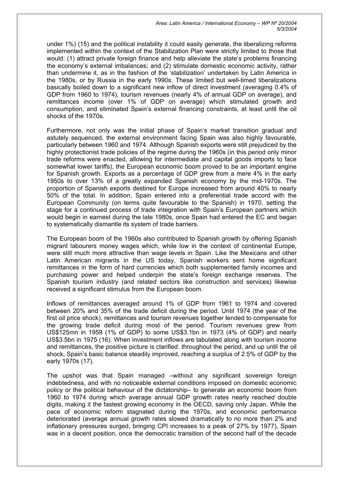*Area: Latin America / International Economy – WP Nº 20/2004 5/3/2004* 

under 1%) (15) and the political instability it could easily generate, the liberalizing reforms implemented within the context of the Stabilization Plan were strictly limited to those that would: (1) attract private foreign finance and help alleviate the state's problems financing the economy's external imbalances; and (2) stimulate domestic economic activity, rather than undermine it, as in the fashion of the 'stabilization' undertaken by Latin America in the 1980s, or by Russia in the early 1990s. These limited but well-timed liberalizations basically boiled down to a significant new inflow of direct investment (averaging 0.4% of GDP from 1960 to 1974), tourism revenues (nearly 4% of annual GDP on average), and remittances income (over 1% of GDP on average) which stimulated growth and consumption, and eliminated Spain's external financing constraints, at least until the oil shocks of the 1970s.

Furthermore, not only was the initial phase of Spain's market transition gradual and astutely sequenced, the external environment facing Spain was also highly favourable, particularly between 1960 and 1974. Although Spanish exports were still prejudiced by the highly protectionist trade policies of the regime during the 1960s (in this period only minor trade reforms were enacted, allowing for intermediate and capital goods imports to face somewhat lower tariffs), the European economic boom proved to be an important engine for Spanish growth. Exports as a percentage of GDP grew from a mere 4% in the early 1950s to over 13% of a greatly expanded Spanish economy by the mid-1970s. The proportion of Spanish exports destined for Europe increased from around 40% to nearly 50% of the total. In addition, Spain entered into a preferential trade accord with the European Community (on terms quite favourable to the Spanish) in 1970, setting the stage for a continued process of trade integration with Spain's European partners which would begin in earnest during the late 1980s, once Spain had entered the EC and began to systematically dismantle its system of trade barriers.

The European boom of the 1960s also contributed to Spanish growth by offering Spanish migrant labourers money wages which, while low in the context of continental Europe, were still much more attractive than wage levels in Spain. Like the Mexicans and other Latin American migrants in the US today, Spanish workers sent home significant remittances in the form of hard currencies which both supplemented family incomes and purchasing power and helped underpin the state's foreign exchange reserves. The Spanish tourism industry (and related sectors like construction and services) likewise received a significant stimulus from the European boom.

Inflows of remittances averaged around 1% of GDP from 1961 to 1974 and covered between 20% and 35% of the trade deficit during the period. Until 1974 (the year of the first oil price shock), remittances and tourism revenues together tended to compensate for the growing trade deficit during most of the period. Tourism revenues grew from US\$125mn in 1959 (1% of GDP) to some US\$3.1bn in 1973 (4% of GDP) and nearly US\$3.5bn in 1975 (16). When investment inflows are tabulated along with tourism income and remittances, the positive picture is clarified: throughout the period, and up until the oil shock, Spain's basic balance steadily improved, reaching a surplus of 2.5% of GDP by the early 1970s (17).

The upshot was that Spain managed –without any significant sovereign foreign indebtedness, and with no noticeable external conditions imposed on domestic economic policy or the political behaviour of the dictatorship– to generate an economic boom from 1960 to 1974 during which average annual GDP growth rates nearly reached double digits, making it the fastest growing economy in the OECD, saving only Japan. While the pace of economic reform stagnated during the 1970s, and economic performance deteriorated (average annual growth rates slowed dramatically to no more than 2% and inflationary pressures surged, bringing CPI increases to a peak of 27% by 1977), Spain was in a decent position, once the democratic transition of the second half of the decade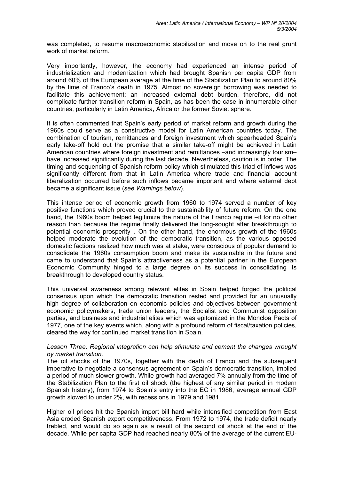was completed, to resume macroeconomic stabilization and move on to the real grunt work of market reform.

Very importantly, however, the economy had experienced an intense period of industrialization and modernization which had brought Spanish per capita GDP from around 60% of the European average at the time of the Stabilization Plan to around 80% by the time of Franco's death in 1975. Almost no sovereign borrowing was needed to facilitate this achievement: an increased external debt burden, therefore, did not complicate further transition reform in Spain, as has been the case in innumerable other countries, particularly in Latin America, Africa or the former Soviet sphere.

It is often commented that Spain's early period of market reform and growth during the 1960s could serve as a constructive model for Latin American countries today. The combination of tourism, remittances and foreign investment which spearheaded Spain's early take-off hold out the promise that a similar take-off might be achieved in Latin American countries where foreign investment and remittances –and increasingly tourism– have increased significantly during the last decade. Nevertheless, caution is in order. The timing and sequencing of Spanish reform policy which stimulated this triad of inflows was significantly different from that in Latin America where trade and financial account liberalization occurred before such inflows became important and where external debt became a significant issue (*see Warnings below*).

This intense period of economic growth from 1960 to 1974 served a number of key positive functions which proved crucial to the sustainability of future reform. On the one hand, the 1960s boom helped legitimize the nature of the Franco regime –if for no other reason than because the regime finally delivered the long-sought after breakthrough to potential economic prosperity–. On the other hand, the enormous growth of the 1960s helped moderate the evolution of the democratic transition, as the various opposed domestic factions realized how much was at stake, were conscious of popular demand to consolidate the 1960s consumption boom and make its sustainable in the future and came to understand that Spain's attractiveness as a potential partner in the European Economic Community hinged to a large degree on its success in consolidating its breakthrough to developed country status.

This universal awareness among relevant elites in Spain helped forged the political consensus upon which the democratic transition rested and provided for an unusually high degree of collaboration on economic policies and objectives between government economic policymakers, trade union leaders, the Socialist and Communist opposition parties, and business and industrial elites which was epitomized in the Moncloa Pacts of 1977, one of the key events which, along with a profound reform of fiscal/taxation policies, cleared the way for continued market transition in Spain.

## *Lesson Three: Regional integration can help stimulate and cement the changes wrought by market transition.*

The oil shocks of the 1970s, together with the death of Franco and the subsequent imperative to negotiate a consensus agreement on Spain's democratic transition, implied a period of much slower growth. While growth had averaged 7% annually from the time of the Stabilization Plan to the first oil shock (the highest of any similar period in modern Spanish history), from 1974 to Spain's entry into the EC in 1986, average annual GDP growth slowed to under 2%, with recessions in 1979 and 1981.

Higher oil prices hit the Spanish import bill hard while intensified competition from East Asia eroded Spanish export competitiveness. From 1972 to 1974, the trade deficit nearly trebled, and would do so again as a result of the second oil shock at the end of the decade. While per capita GDP had reached nearly 80% of the average of the current EU-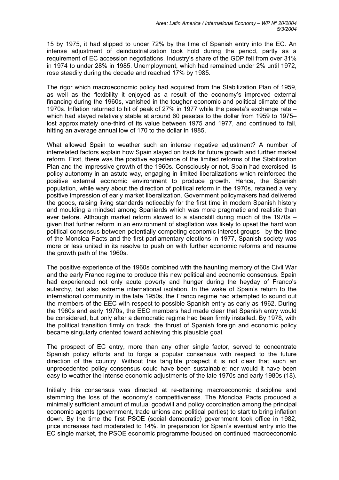15 by 1975, it had slipped to under 72% by the time of Spanish entry into the EC. An intense adjustment of deindustrialization took hold during the period, partly as a requirement of EC accession negotiations. Industry's share of the GDP fell from over 31% in 1974 to under 28% in 1985. Unemployment, which had remained under 2% until 1972, rose steadily during the decade and reached 17% by 1985.

The rigor which macroeconomic policy had acquired from the Stabilization Plan of 1959, as well as the flexibility it enjoyed as a result of the economy's improved external financing during the 1960s, vanished in the tougher economic and political climate of the 1970s. Inflation returned to hit of peak of 27% in 1977 while the peseta's exchange rate – which had stayed relatively stable at around 60 pesetas to the dollar from 1959 to 1975– lost approximately one-third of its value between 1975 and 1977, and continued to fall, hitting an average annual low of 170 to the dollar in 1985.

What allowed Spain to weather such an intense negative adjustment? A number of interrelated factors explain how Spain stayed on track for future growth and further market reform. First, there was the positive experience of the limited reforms of the Stabilization Plan and the impressive growth of the 1960s. Consciously or not, Spain had exercised its policy autonomy in an astute way, engaging in limited liberalizations which reinforced the positive external economic environment to produce growth. Hence, the Spanish population, while wary about the direction of political reform in the 1970s, retained a very positive impression of early market liberalization. Government policymakers had delivered the goods, raising living standards noticeably for the first time in modern Spanish history and moulding a mindset among Spaniards which was more pragmatic and realistic than ever before. Although market reform slowed to a standstill during much of the 1970s – given that further reform in an environment of stagflation was likely to upset the hard won political consensus between potentially competing economic interest groups– by the time of the Moncloa Pacts and the first parliamentary elections in 1977, Spanish society was more or less united in its resolve to push on with further economic reforms and resume the growth path of the 1960s.

The positive experience of the 1960s combined with the haunting memory of the Civil War and the early Franco regime to produce this new political and economic consensus. Spain had experienced not only acute poverty and hunger during the heyday of Franco's autarchy, but also extreme international isolation. In the wake of Spain's return to the international community in the late 1950s, the Franco regime had attempted to sound out the members of the EEC with respect to possible Spanish entry as early as 1962. During the 1960s and early 1970s, the EEC members had made clear that Spanish entry would be considered, but only after a democratic regime had been firmly installed. By 1978, with the political transition firmly on track, the thrust of Spanish foreign and economic policy became singularly oriented toward achieving this plausible goal.

The prospect of EC entry, more than any other single factor, served to concentrate Spanish policy efforts and to forge a popular consensus with respect to the future direction of the country. Without this tangible prospect it is not clear that such an unprecedented policy consensus could have been sustainable; nor would it have been easy to weather the intense economic adjustments of the late 1970s and early 1980s (18).

Initially this consensus was directed at re-attaining macroeconomic discipline and stemming the loss of the economy's competitiveness. The Moncloa Pacts produced a minimally sufficient amount of mutual goodwill and policy coordination among the principal economic agents (government, trade unions and political parties) to start to bring inflation down. By the time the first PSOE (social democratic) government took office in 1982, price increases had moderated to 14%. In preparation for Spain's eventual entry into the EC single market, the PSOE economic programme focused on continued macroeconomic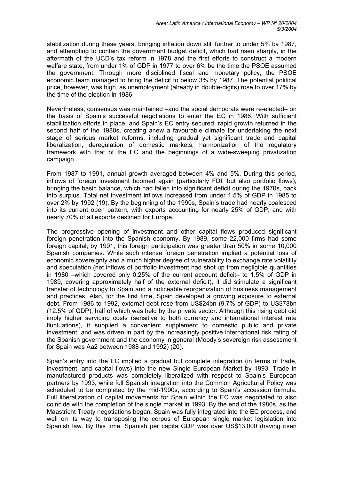*Area: Latin America / International Economy – WP Nº 20/2004 5/3/2004* 

stabilization during these years, bringing inflation down still further to under 5% by 1987, and attempting to contain the government budget deficit, which had risen sharply, in the aftermath of the UCD's tax reform in 1978 and the first efforts to construct a modern welfare state, from under 1% of GDP in 1977 to over 6% be the time the PSOE assumed the government. Through more disciplined fiscal and monetary policy, the PSOE economic team managed to bring the deficit to below 3% by 1987. The potential political price, however, was high, as unemployment (already in double-digits) rose to over 17% by the time of the election in 1986.

Nevertheless, consensus was maintained –and the social democrats were re-elected– on the basis of Spain's successful negotiations to enter the EC in 1986. With sufficient stablilization efforts in place, and Spain's EC entry secured, rapid growth returned in the second half of the 1980s, creating anew a favourable climate for undertaking the next stage of serious market reforms, including gradual yet significant trade and capital liberalization, deregulation of domestic markets, harmonization of the regulatory framework with that of the EC and the beginnings of a wide-sweeping privatization campaign.

From 1987 to 1991, annual growth averaged between 4% and 5%. During this period, inflows of foreign investment boomed again (particularly FDI, but also portfolio flows), bringing the basic balance, which had fallen into significant deficit during the 1970s, back into surplus. Total net investment inflows increased from under 1.5% of GDP in 1985 to over 2% by 1992 (19). By the beginning of the 1990s, Spain's trade had nearly coalesced into its current open pattern, with exports accounting for nearly 25% of GDP, and with nearly 70% of all exports destined for Europe.

The progressive opening of investment and other capital flows produced significant foreign penetration into the Spanish economy. By 1989, some 22,000 firms had some foreign capital; by 1991, this foreign participation was greater than 50% in some 10,000 Spanish companies. While such intense foreign penetration implied a potential loss of economic sovereignty and a much higher degree of vulnerability to exchange rate volatility and speculation (net inflows of portfolio investment had shot up from negligible quantities in 1980 –which covered only 0.25% of the current account deficit– to 1.5% of GDP in 1989, covering approximately half of the external deficit), it did stimulate a significant transfer of technology to Spain and a noticeable reorganization of business management and practices. Also, for the first time, Spain developed a growing exposure to external debt. From 1986 to 1992, external debt rose from US\$24bn (9.7% of GDP) to US\$78bn (12.5% of GDP), half of which was held by the private sector. Although this rising debt did imply higher servicing costs (sensitive to both currency and international interest rate fluctuations), it supplied a convenient supplement to domestic public and private investment, and was driven in part by the increasingly positive international risk rating of the Spanish government and the economy in general (Moody's sovereign risk assessment for Spain was Aa2 between 1988 and 1992) (20).

Spain's entry into the EC implied a gradual but complete integration (in terms of trade, investment, and capital flows) into the new Single European Market by 1993. Trade in manufactured products was completely liberalized with respect to Spain's European partners by 1993, while full Spanish integration into the Common Agricultural Policy was scheduled to be completed by the mid-1990s, according to Spain's accession formula. Full liberalization of capital movements for Spain within the EC was negotiated to also coincide with the completion of the single market in 1993. By the end of the 1980s, as the Maastricht Treaty negotiations began, Spain was fully integrated into the EC process, and well on its way to transposing the corpus of European single market legislation into Spanish law. By this time, Spanish per capita GDP was over US\$13,000 (having risen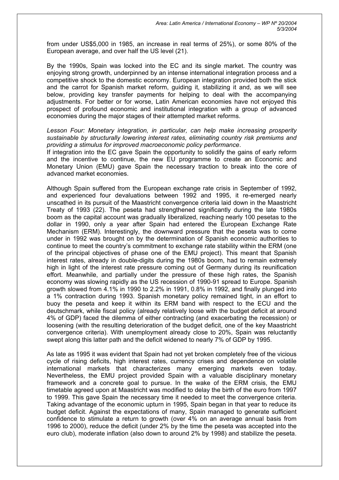from under US\$5,000 in 1985, an increase in real terms of 25%), or some 80% of the European average, and over half the US level (21).

By the 1990s, Spain was locked into the EC and its single market. The country was enjoying strong growth, underpinned by an intense international integration process and a competitive shock to the domestic economy. European integration provided both the stick and the carrot for Spanish market reform, guiding it, stabilizing it and, as we will see below, providing key transfer payments for helping to deal with the accompanying adjustments. For better or for worse, Latin American economies have not enjoyed this prospect of profound economic and institutional integration with a group of advanced economies during the major stages of their attempted market reforms.

*Lesson Four: Monetary integration, in particular, can help make increasing prosperity sustainable by structurally lowering interest rates, eliminating country risk premiums and providing a stimulus for improved macroeconomic policy performance*.

If integration into the EC gave Spain the opportunity to solidify the gains of early reform and the incentive to continue, the new EU programme to create an Economic and Monetary Union (EMU) gave Spain the necessary traction to break into the core of advanced market economies.

Although Spain suffered from the European exchange rate crisis in September of 1992, and experienced four devaluations between 1992 and 1995, it re-emerged nearly unscathed in its pursuit of the Maastricht convergence criteria laid down in the Maastricht Treaty of 1993 (22). The peseta had strengthened significantly during the late 1980s boom as the capital account was gradually liberalized, reaching nearly 100 pesetas to the dollar in 1990, only a year after Spain had entered the European Exchange Rate Mechanism (ERM). Interestingly, the downward pressure that the peseta was to come under in 1992 was brought on by the determination of Spanish economic authorities to continue to meet the country's commitment to exchange rate stability within the ERM (one of the principal objectives of phase one of the EMU project). This meant that Spanish interest rates, already in double-digits during the 1980s boom, had to remain extremely high in light of the interest rate pressure coming out of Germany during its reunification effort. Meanwhile, and partially under the pressure of these high rates, the Spanish economy was slowing rapidly as the US recession of 1990-91 spread to Europe. Spanish growth slowed from 4.1% in 1990 to 2.2% in 1991, 0.8% in 1992, and finally plunged into a 1% contraction during 1993. Spanish monetary policy remained tight, in an effort to buoy the peseta and keep it within its ERM band with respect to the ECU and the deutschmark, while fiscal policy (already relatively loose with the budget deficit at around 4% of GDP) faced the dilemma of either contracting (and exacerbating the recession) or loosening (with the resulting deterioration of the budget deficit, one of the key Maastricht convergence criteria). With unemployment already close to 20%, Spain was reluctantly swept along this latter path and the deficit widened to nearly 7% of GDP by 1995.

As late as 1995 it was evident that Spain had not yet broken completely free of the vicious cycle of rising deficits, high interest rates, currency crises and dependence on volatile international markets that characterizes many emerging markets even today. Nevertheless, the EMU project provided Spain with a valuable disciplinary monetary framework and a concrete goal to pursue. In the wake of the ERM crisis, the EMU timetable agreed upon at Maastricht was modified to delay the birth of the euro from 1997 to 1999. This gave Spain the necessary time it needed to meet the convergence criteria. Taking advantage of the economic upturn in 1995, Spain began in that year to reduce its budget deficit. Against the expectations of many, Spain managed to generate sufficient confidence to stimulate a return to growth (over 4% on an average annual basis from 1996 to 2000), reduce the deficit (under 2% by the time the peseta was accepted into the euro club), moderate inflation (also down to around 2% by 1998) and stabilize the peseta.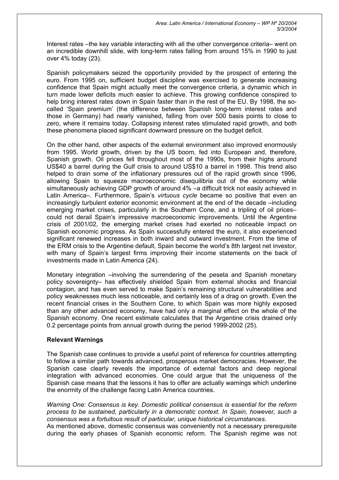Interest rates –the key variable interacting with all the other convergence criteria– went on an incredible downhill slide, with long-term rates falling from around 15% in 1990 to just over 4% today (23).

Spanish policymakers seized the opportunity provided by the prospect of entering the euro. From 1995 on, sufficient budget discipline was exercised to generate increasing confidence that Spain might actually meet the convergence criteria, a dynamic which in turn made lower deficits much easier to achieve. This growing confidence conspired to help bring interest rates down in Spain faster than in the rest of the EU. By 1998, the socalled 'Spain premium' (the difference between Spanish long-term interest rates and those in Germany) had nearly vanished, falling from over 500 basis points to close to zero, where it remains today. Collapsing interest rates stimulated rapid growth, and both these phenomena placed significant downward pressure on the budget deficit.

On the other hand, other aspects of the external environment also improved enormously from 1995. World growth, driven by the US boom, fed into European and, therefore, Spanish growth. Oil prices fell throughout most of the 1990s, from their highs around US\$40 a barrel during the Gulf crisis to around US\$10 a barrel in 1998. This trend also helped to drain some of the inflationary pressures out of the rapid growth since 1996, allowing Spain to squeeze macroeconomic disequilibria out of the economy while simultaneously achieving GDP growth of around 4% –a difficult trick not easily achieved in Latin America–. Furthermore, Spain's *virtuous cycle* became so positive that even an increasingly turbulent exterior economic environment at the end of the decade –including emerging market crises, particularly in the Southern Cone, and a tripling of oil prices– could not derail Spain's impressive macroeconomic improvements. Until the Argentine crisis of 2001/02, the emerging market crises had exerted no noticeable impact on Spanish economic progress. As Spain successfully entered the euro, it also experienced significant renewed increases in both inward and outward investment. From the time of the ERM crisis to the Argentine default, Spain become the world's 8th largest net investor, with many of Spain's largest firms improving their income statements on the back of investments made in Latin America (24).

Monetary integration –involving the surrendering of the peseta and Spanish monetary policy sovereignty– has effectively shielded Spain from external shocks and financial contagion, and has even served to make Spain's remaining structural vulnerabilities and policy weaknesses much less noticeable, and certainly less of a drag on growth. Even the recent financial crises in the Southern Cone, to which Spain was more highly exposed than any other advanced economy, have had only a marginal effect on the whole of the Spanish economy. One recent estimate calculates that the Argentine crisis drained only 0.2 percentage points from annual growth during the period 1999-2002 (25).

# **Relevant Warnings**

The Spanish case continues to provide a useful point of reference for countries attempting to follow a similar path towards advanced, prosperous market democracies. However, the Spanish case clearly reveals the importance of external factors and deep regional integration with advanced economies. One could argue that the uniqueness of the Spanish case means that the lessons it has to offer are actually warnings which underline the enormity of the challenge facing Latin America countries.

*Warning One: Consensus is key. Domestic political consensus is essential for the reform process to be sustained, particularly in a democratic context. In Spain, however, such a consensus was a fortuitous result of particular, unique historical circumstances.*

As mentioned above, domestic consensus was conveniently not a necessary prerequisite during the early phases of Spanish economic reform. The Spanish regime was not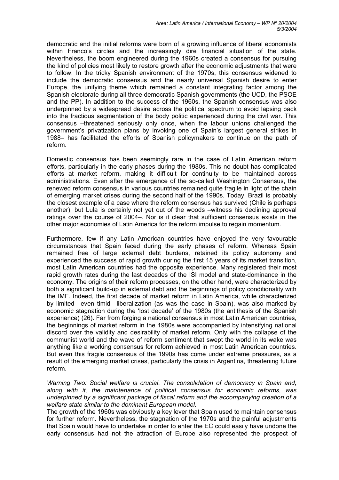*Area: Latin America / International Economy – WP Nº 20/2004 5/3/2004* 

democratic and the initial reforms were born of a growing influence of liberal economists within Franco's circles and the increasingly dire financial situation of the state. Nevertheless, the boom engineered during the 1960s created a consensus for pursuing the kind of policies most likely to restore growth after the economic adjustments that were to follow. In the tricky Spanish environment of the 1970s, this consensus widened to include the democratic consensus and the nearly universal Spanish desire to enter Europe, the unifying theme which remained a constant integrating factor among the Spanish electorate during all three democratic Spanish governments (the UCD, the PSOE and the PP). In addition to the success of the 1960s, the Spanish consensus was also underpinned by a widespread desire across the political spectrum to avoid lapsing back into the fractious segmentation of the body politic experienced during the civil war. This consensus –threatened seriously only once, when the labour unions challenged the government's privatization plans by invoking one of Spain's largest general strikes in 1988– has facilitated the efforts of Spanish policymakers to continue on the path of reform.

Domestic consensus has been seemingly rare in the case of Latin American reform efforts, particularly in the early phases during the 1980s. This no doubt has complicated efforts at market reform, making it difficult for continuity to be maintained across administrations. Even after the emergence of the so-called Washington Consensus, the renewed reform consensus in various countries remained quite fragile in light of the chain of emerging market crises during the second half of the 1990s. Today, Brazil is probably the closest example of a case where the reform consensus has survived (Chile is perhaps another), but Lula is certainly not yet out of the woods –witness his declining approval ratings over the course of 2004–. Nor is it clear that sufficient consensus exists in the other major economies of Latin America for the reform impulse to regain momentum.

Furthermore, few if any Latin American countries have enjoyed the very favourable circumstances that Spain faced during the early phases of reform. Whereas Spain remained free of large external debt burdens, retained its policy autonomy and experienced the success of rapid growth during the first 15 years of its market transition, most Latin American countries had the opposite experience. Many registered their most rapid growth rates during the last decades of the ISI model and state-dominance in the economy. The origins of their reform processes, on the other hand, were characterized by both a significant build-up in external debt and the beginnings of policy conditionality with the IMF. Indeed, the first decade of market reform in Latin America, while characterized by limited –even timid– liberalization (as was the case in Spain), was also marked by economic stagnation during the 'lost decade' of the 1980s (the antithesis of the Spanish experience) (26). Far from forging a national consensus in most Latin American countries, the beginnings of market reform in the 1980s were accompanied by intensifying national discord over the validity and desirability of market reform. Only with the collapse of the communist world and the wave of reform sentiment that swept the world in its wake was anything like a working consensus for reform achieved in most Latin American countries. But even this fragile consensus of the 1990s has come under extreme pressures, as a result of the emerging market crises, particularly the crisis in Argentina, threatening future reform.

*Warning Two: Social welfare is crucial. The consolidation of democracy in Spain and, along with it, the maintenance of political consensus for economic reforms, was underpinned by a significant package of fiscal reform and the accompanying creation of a welfare state similar to the dominant European model.*

The growth of the 1960s was obviously a key lever that Spain used to maintain consensus for further reform. Nevertheless, the stagnation of the 1970s and the painful adjustments that Spain would have to undertake in order to enter the EC could easily have undone the early consensus had not the attraction of Europe also represented the prospect of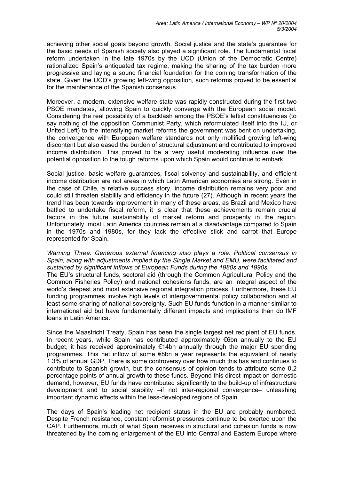achieving other social goals beyond growth. Social justice and the state's guarantee for the basic needs of Spanish society also played a significant role. The fundamental fiscal reform undertaken in the late 1970s by the UCD (Union of the Democratic Centre) rationalized Spain's antiquated tax regime, making the sharing of the tax burden more progressive and laying a sound financial foundation for the coming transformation of the state. Given the UCD's growing left-wing opposition, such reforms proved to be essential for the maintenance of the Spanish consensus.

Moreover, a modern, extensive welfare state was rapidly constructed during the first two PSOE mandates, allowing Spain to quickly converge with the European social model. Considering the real possibility of a backlash among the PSOE's leftist constituencies (to say nothing of the opposition Communist Party, which reformulated itself into the IU, or United Left) to the intensifying market reforms the government was bent on undertaking, the convergence with European welfare standards not only mollified growing left-wing discontent but also eased the burden of structural adjustment and contributed to improved income distribution. This proved to be a very useful moderating influence over the potential opposition to the tough reforms upon which Spain would continue to embark.

Social justice, basic welfare guarantees, fiscal solvency and sustainability, and efficient income distribution are not areas in which Latin American economies are strong. Even in the case of Chile, a relative success story, income distribution remains very poor and could still threaten stability and efficiency in the future (27). Although in recent years the trend has been towards improvement in many of these areas, as Brazil and Mexico have battled to undertake fiscal reform, it is clear that these achievements remain crucial factors in the future sustainability of market reform and prosperity in the region. Unfortunately, most Latin America countries remain at a disadvantage compared to Spain in the 1970s and 1980s, for they lack the effective stick and carrot that Europe represented for Spain.

*Warning Three: Generous external financing also plays a role. Political consensus in Spain, along with adjustments implied by the Single Market and EMU, were facilitated and sustained by significant inflows of European Funds during the 1980s and 1990s.*

The EU's structural funds, sectoral aid (through the Common Agricultural Policy and the Common Fisheries Policy) and national cohesions funds, are an integral aspect of the world's deepest and most extensive regional integration process. Furthermore, these EU funding programmes involve high levels of intergovernmental policy collaboration and at least some sharing of national sovereignty. Such EU funds function in a manner similar to international aid but have fundamentally different impacts and implications than do IMF loans in Latin America.

Since the Maastricht Treaty, Spain has been the single largest net recipient of EU funds. In recent years, while Spain has contributed approximately €6bn annually to the EU budget, it has received approximately €14bn annually through the major EU spending programmes. This net inflow of some €8bn a year represents the equivalent of nearly 1.3% of annual GDP. There is some controversy over how much this has and continues to contribute to Spanish growth, but the consensus of opinion tends to attribute some 0.2 percentage points of annual growth to these funds. Beyond this direct impact on domestic demand, however, EU funds have contributed significantly to the build-up of infrastructure development and to social stability –if not inter-regional convergence– unleashing important dynamic effects within the less-developed regions of Spain.

The days of Spain's leading net recipient status in the EU are probably numbered. Despite French resistance, constant reformist pressures continue to be exerted upon the CAP. Furthermore, much of what Spain receives in structural and cohesion funds is now threatened by the coming enlargement of the EU into Central and Eastern Europe where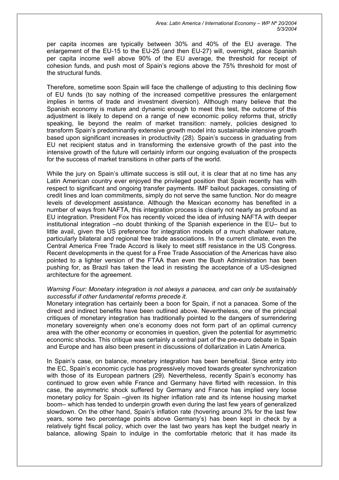per capita incomes are typically between 30% and 40% of the EU average. The enlargement of the EU-15 to the EU-25 (and then EU-27) will, overnight, place Spanish per capita income well above 90% of the EU average, the threshold for receipt of cohesion funds, and push most of Spain's regions above the 75% threshold for most of the structural funds.

Therefore, sometime soon Spain will face the challenge of adjusting to this declining flow of EU funds (to say nothing of the increased competitive pressures the enlargement implies in terms of trade and investment diversion). Although many believe that the Spanish economy is mature and dynamic enough to meet this test, the outcome of this adjustment is likely to depend on a range of new economic policy reforms that, strictly speaking, lie beyond the realm of market transition: namely, policies designed to transform Spain's predominantly extensive growth model into sustainable intensive growth based upon significant increases in productivity (28). Spain's success in graduating from EU net recipient status and in transforming the extensive growth of the past into the intensive growth of the future will certainly inform our ongoing evaluation of the prospects for the success of market transitions in other parts of the world.

While the jury on Spain's ultimate success is still out, it is clear that at no time has any Latin American country ever enjoyed the privileged position that Spain recently has with respect to significant and ongoing transfer payments. IMF bailout packages, consisting of credit lines and loan commitments, simply do not serve the same function. Nor do meagre levels of development assistance. Although the Mexican economy has benefited in a number of ways from NAFTA, this integration process is clearly not nearly as profound as EU integration. President Fox has recently voiced the idea of infusing NAFTA with deeper institutional integration –no doubt thinking of the Spanish experience in the EU– but to little avail, given the US preference for integration models of a much shallower nature, particularly bilateral and regional free trade associations. In the current climate, even the Central America Free Trade Accord is likely to meet stiff resistance in the US Congress. Recent developments in the quest for a Free Trade Association of the Americas have also pointed to a lighter version of the FTAA than even the Bush Administration has been pushing for, as Brazil has taken the lead in resisting the acceptance of a US-designed architecture for the agreement.

## *Warning Four: Monetary integration is not always a panacea, and can only be sustainably successful if other fundamental reforms precede it.*

Monetary integration has certainly been a boon for Spain, if not a panacea. Some of the direct and indirect benefits have been outlined above. Nevertheless, one of the principal critiques of monetary integration has traditionally pointed to the dangers of surrendering monetary sovereignty when one's economy does not form part of an optimal currency area with the other economy or economies in question, given the potential for asymmetric economic shocks. This critique was certainly a central part of the pre-euro debate in Spain and Europe and has also been present in discussions of dollarization in Latin America.

In Spain's case, on balance, monetary integration has been beneficial. Since entry into the EC, Spain's economic cycle has progressively moved towards greater synchronization with those of its European partners (29). Nevertheless, recently Spain's economy has continued to grow even while France and Germany have flirted with recession. In this case, the asymmetric shock suffered by Germany and France has implied very loose monetary policy for Spain –given its higher inflation rate and its intense housing market boom– which has tended to underpin growth even during the last few years of generalized slowdown. On the other hand, Spain's inflation rate (hovering around 3% for the last few years, some two percentage points above Germany's) has been kept in check by a relatively tight fiscal policy, which over the last two years has kept the budget nearly in balance, allowing Spain to indulge in the comfortable rhetoric that it has made its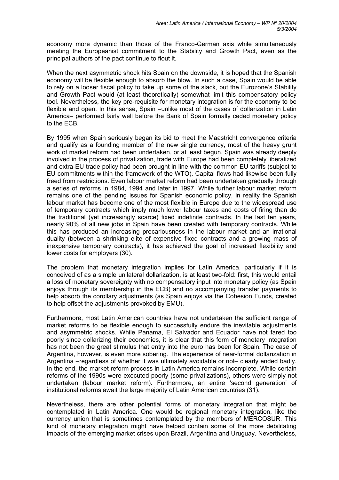economy more dynamic than those of the Franco-German axis while simultaneously meeting the Europeanist commitment to the Stability and Growth Pact, even as the principal authors of the pact continue to flout it.

When the next asymmetric shock hits Spain on the downside, it is hoped that the Spanish economy will be flexible enough to absorb the blow. In such a case, Spain would be able to rely on a looser fiscal policy to take up some of the slack, but the Eurozone's Stability and Growth Pact would (at least theoretically) somewhat limit this compensatory policy tool. Nevertheless, the key pre-requisite for monetary integration is for the economy to be flexible and open. In this sense, Spain –unlike most of the cases of dollarization in Latin America– performed fairly well before the Bank of Spain formally ceded monetary policy to the ECB.

By 1995 when Spain seriously began its bid to meet the Maastricht convergence criteria and qualify as a founding member of the new single currency, most of the heavy grunt work of market reform had been undertaken, or at least begun. Spain was already deeply involved in the process of privatization, trade with Europe had been completely liberalized and extra-EU trade policy had been brought in line with the common EU tariffs (subject to EU commitments within the framework of the WTO). Capital flows had likewise been fully freed from restrictions. Even labour market reform had been undertaken gradually through a series of reforms in 1984, 1994 and later in 1997. While further labour market reform remains one of the pending issues for Spanish economic policy, in reality the Spanish labour market has become one of the most flexible in Europe due to the widespread use of temporary contracts which imply much lower labour taxes and costs of firing than do the traditional (yet increasingly scarce) fixed indefinite contracts. In the last ten years, nearly 90% of all new jobs in Spain have been created with temporary contracts. While this has produced an increasing precariousness in the labour market and an irrational duality (between a shrinking elite of expensive fixed contracts and a growing mass of inexpensive temporary contracts), it has achieved the goal of increased flexibility and lower costs for employers (30).

The problem that monetary integration implies for Latin America, particularly if it is conceived of as a simple unilateral dollarization, is at least two-fold: first, this would entail a loss of monetary sovereignty with no compensatory input into monetary policy (as Spain enjoys through its membership in the ECB) and no accompanying transfer payments to help absorb the corollary adjustments (as Spain enjoys via the Cohesion Funds, created to help offset the adjustments provoked by EMU).

Furthermore, most Latin American countries have not undertaken the sufficient range of market reforms to be flexible enough to successfully endure the inevitable adjustments and asymmetric shocks. While Panama, El Salvador and Ecuador have not fared too poorly since dollarizing their economies, it is clear that this form of monetary integration has not been the great stimulus that entry into the euro has been for Spain. The case of Argentina, however, is even more sobering. The experience of near-formal dollarization in Argentina –regardless of whether it was ultimately avoidable or not– clearly ended badly. In the end, the market reform process in Latin America remains incomplete. While certain reforms of the 1990s were executed poorly (some privatizations), others were simply not undertaken (labour market reform). Furthermore, an entire 'second generation' of institutional reforms await the large majority of Latin American countries (31).

Nevertheless, there are other potential forms of monetary integration that might be contemplated in Latin America. One would be regional monetary integration, like the currency union that is sometimes contemplated by the members of MERCOSUR. This kind of monetary integration might have helped contain some of the more debilitating impacts of the emerging market crises upon Brazil, Argentina and Uruguay. Nevertheless,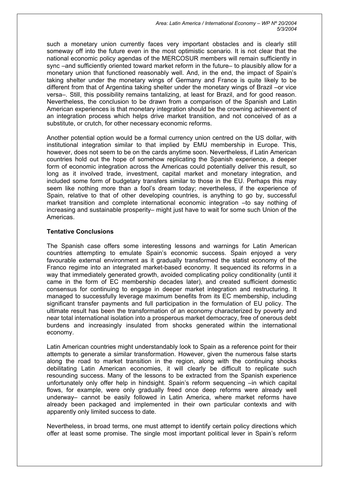such a monetary union currently faces very important obstacles and is clearly still someway off into the future even in the most optimistic scenario. It is not clear that the national economic policy agendas of the MERCOSUR members will remain sufficiently in sync –and sufficiently oriented toward market reform in the future– to plausibly allow for a monetary union that functioned reasonably well. And, in the end, the impact of Spain's taking shelter under the monetary wings of Germany and France is quite likely to be different from that of Argentina taking shelter under the monetary wings of Brazil –or vice versa–. Still, this possibility remains tantalizing, at least for Brazil, and for good reason. Nevertheless, the conclusion to be drawn from a comparison of the Spanish and Latin American experiences is that monetary integration should be the crowning achievement of an integration process which helps drive market transition, and not conceived of as a substitute, or crutch, for other necessary economic reforms.

Another potential option would be a formal currency union centred on the US dollar, with institutional integration similar to that implied by EMU membership in Europe. This, however, does not seem to be on the cards anytime soon. Nevertheless, if Latin American countries hold out the hope of somehow replicating the Spanish experience, a deeper form of economic integration across the Americas could potentially deliver this result, so long as it involved trade, investment, capital market and monetary integration, and included some form of budgetary transfers similar to those in the EU. Perhaps this may seem like nothing more than a fool's dream today; nevertheless, if the experience of Spain, relative to that of other developing countries, is anything to go by, successful market transition and complete international economic integration –to say nothing of increasing and sustainable prosperity– might just have to wait for some such Union of the Americas.

# **Tentative Conclusions**

The Spanish case offers some interesting lessons and warnings for Latin American countries attempting to emulate Spain's economic success. Spain enjoyed a very favourable external environment as it gradually transformed the statist economy of the Franco regime into an integrated market-based economy. It sequenced its reforms in a way that immediately generated growth, avoided complicating policy conditionality (until it came in the form of EC membership decades later), and created sufficient domestic consensus for continuing to engage in deeper market integration and restructuring. It managed to successfully leverage maximum benefits from its EC membership, including significant transfer payments and full participation in the formulation of EU policy. The ultimate result has been the transformation of an economy characterized by poverty and near total international isolation into a prosperous market democracy, free of onerous debt burdens and increasingly insulated from shocks generated within the international economy.

Latin American countries might understandably look to Spain as a reference point for their attempts to generate a similar transformation. However, given the numerous false starts along the road to market transition in the region, along with the continuing shocks debilitating Latin American economies, it will clearly be difficult to replicate such resounding success. Many of the lessons to be extracted from the Spanish experience unfortunately only offer help in hindsight. Spain's reform sequencing –in which capital flows, for example, were only gradually freed once deep reforms were already well underway– cannot be easily followed in Latin America, where market reforms have already been packaged and implemented in their own particular contexts and with apparently only limited success to date.

Nevertheless, in broad terms, one must attempt to identify certain policy directions which offer at least some promise. The single most important political lever in Spain's reform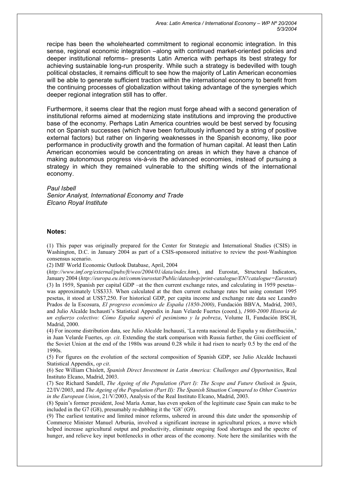recipe has been the wholehearted commitment to regional economic integration. In this sense, regional economic integration –along with continued market-oriented policies and deeper institutional reforms– presents Latin America with perhaps its best strategy for achieving sustainable long-run prosperity. While such a strategy is bedevilled with tough political obstacles, it remains difficult to see how the majority of Latin American economies will be able to generate sufficient traction within the international economy to benefit from the continuing processes of globalization without taking advantage of the synergies which deeper regional integration still has to offer.

Furthermore, it seems clear that the region must forge ahead with a second generation of institutional reforms aimed at modernizing state institutions and improving the productive base of the economy. Perhaps Latin America countries would be best served by focusing not on Spanish successes (which have been fortuitously influenced by a string of positive external factors) but rather on lingering weaknesses in the Spanish economy, like poor performance in productivity growth and the formation of human capital. At least then Latin American economies would be concentrating on areas in which they have a chance of making autonomous progress vis-à-vis the advanced economies, instead of pursuing a strategy in which they remained vulnerable to the shifting winds of the international economy.

#### *Paul Isbell*

*Senior Analyst, International Economy and Trade Elcano Royal Institute* 

#### **Notes:**

(1) This paper was originally prepared for the Center for Strategic and International Studies (CSIS) in Washington, D.C. in January 2004 as part of a CSIS-sponsored initiative to review the post-Washington consensus scenario.

(2) IMF World Economic Outlook Database, April, 2004

(*http://www.imf.org/external/pubs/ft/weo/2004/01/data/index.htm*), and Eurostat, Structural Indicators, January 2004 (*http://europa.eu.int/comm/eurostat/Public/datashop/print-catalogue/EN?catalogue=Eurostat*) (3) In 1959, Spanish per capital GDP –at the then current exchange rates, and calculating in 1959 pesetas– was approximately US\$333. When calculated at the then current exchange rates but using constant 1995 pesetas, it stood at US\$7,250. For historical GDP, per capita income and exchange rate data see Leandro Prados de la Escosura, *El progreso económico de España (1850-2000)*, Fundación BBVA, Madrid, 2003, and Julio Alcalde Inchausti's Statistical Appendix in Juan Velarde Fuertes (coord.), *1900-2000 Historia de un esfuerzo colectivo: Cómo España superó el pesimismo y la pobreza*, Volume II, Fundación BSCH, Madrid, 2000.

(4) For income distribution data, see Julio Alcalde Inchausti, 'La renta nacional de España y su distribución,' in Juan Velarde Fuertes, *op. cit*. Extending the stark comparison with Russia further, the Gini coefficient of the Soviet Union at the end of the 1980s was around 0.28 while it had risen to nearly 0.5 by the end of the 1990s.

(5) For figures on the evolution of the sectoral composition of Spanish GDP, see Julio Alcalde Inchausti Statistical Appendix, *op cit*.

(6) See William Chislett, *Spanish Direct Investment in Latin America: Challenges and Opportunities*, Real Instituto Elcano, Madrid, 2003.

(7) See Richard Sandell, *The Ageing of the Population (Part I): The Scope and Future Outlook in Spain*, 22/IV/2003, and *The Ageing of the Population (Part II): The Spanish Situation Compared to Other Countries in the European Union*, 21/V/2003, Analysis of the Real Instituto Elcano, Madrid, 2003.

(8) Spain's former president, José María Aznar, has even spoken of the legitimate case Spain can make to be included in the G7 (G8), presumably re-dubbing it the 'G8' (G9).

(9) The earliest tentative and limited minor reforms, ushered in around this date under the sponsorship of Commerce Minister Manuel Arburúa, involved a significant increase in agricultural prices, a move which helped increase agricultural output and productivity, eliminate ongoing food shortages and the spectre of hunger, and relieve key input bottlenecks in other areas of the economy. Note here the similarities with the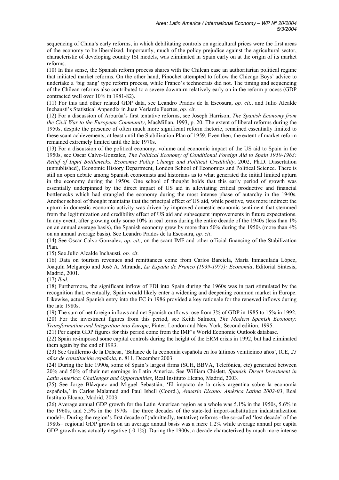sequencing of China's early reforms, in which debilitating controls on agricultural prices were the first areas of the economy to be liberalized. Importantly, much of the policy prejudice against the agricultural sector, characteristic of developing country ISI models, was eliminated in Spain early on at the origin of its market reforms.

(10) In this sense, the Spanish reform process shares with the Chilean case an authoritarian political regime that initiated market reforms. On the other hand, Pinochet attempted to follow the Chicago Boys' advice to undertake a 'big bang' type reform process, while Franco's technocrats did not. The timing and sequencing of the Chilean reforms also contributed to a severe downturn relatively early on in the reform process (GDP contracted well over 10% in 1981-82).

(11) For this and other related GDP data, see Leandro Prados de la Escosura, *op. cit.*, and Julio Alcalde Inchausti's Statistical Appendix in Juan Verlarde Fuertes, *op. cit*.

(12) For a discussion of Arburúa's first tentative reforms, see Joseph Harrison, *The Spanish Economy from the Civil War to the European Community*, MacMillan, 1993, p. 20. The extent of liberal reforms during the 1950s, despite the presence of often much more significant reform rhetoric, remained essentially limited to these scant achievements, at least until the Stabilization Plan of 1959. Even then, the extent of market reform remained extremely limited until the late 1970s.

(13) For a discussion of the political economy, volume and economic impact of the US aid to Spain in the 1950s, see Oscar Calvo-Gonzalez, *The Political Economy of Conditional Foreign Aid to Spain 1950-1963: Relief of Input Bottlenecks, Economic Policy Change and Political Credibility*, 2002, Ph.D. Dissertation (unpublished), Economic History Department, London School of Economics and Political Science. There is still an open debate among Spanish economists and historians as to what generated the initial limited upturn in the economy during the 1950s. One school of thought holds that this early period of growth was essentially underpinned by the direct impact of US aid in alleviating critical productive and financial bottlenecks which had strangled the economy during the most intense phase of autarchy in the 1940s. Another school of thought maintains that the principal effect of US aid, while positive, was more indirect: the upturn in domestic economic activity was driven by improved domestic economic sentiment that stemmed from the legitimization and credibility effect of US aid and subsequent improvements in future expectations. In any event, after growing only some 10% in real terms during the entire decade of the 1940s (less than 1%) on an annual average basis), the Spanish economy grew by more than 50% during the 1950s (more than 4% on an annual average basis). See Leandro Prados de la Escosura, *op. cit*.

(14) See Oscar Calvo-Gonzalez, *op. cit*., on the scant IMF and other official financing of the Stabilization Plan.

(15) See Julio Alcalde Inchausti, *op. cit*.

(16) Data on tourism revenues and remittances come from Carlos Barciela, María Inmaculada López, Joaquín Melgarejo and José A. Miranda, *La España de Franco (1939-1975): Economía*, Editorial Síntesis, Madrid, 2001.

(17) *Ibid*.

(18) Furthermore, the significant inflow of FDI into Spain during the 1960s was in part stimulated by the recognition that, eventually, Spain would likely enter a widening and deepening common market in Europe. Likewise, actual Spanish entry into the EC in 1986 provided a key rationale for the renewed inflows during the late 1980s.

(19) The sum of net foreign inflows and net Spanish outflows rose from 3% of GDP in 1985 to 15% in 1992. (20) For the investment figures from this period, see Keith Salmon, *The Modern Spanish Economy:* 

*Transformation and Integration into Europe*, Pinter, London and New York, Second edition, 1995.

(21) Per capita GDP figures for this period come from the IMF's World Economic Outlook database.

(22) Spain re-imposed some capital controls during the height of the ERM crisis in 1992, but had eliminated them again by the end of 1993.

(23) See Guillermo de la Dehesa, 'Balance de la economía española en los últimos veinticinco años', ICE, *25 años de constitución española*, n. 811, December 2003.

(24) During the late 1990s, some of Spain's largest firms (SCH, BBVA, Telefónica, etc) generated between 20% and 50% of their net earnings in Latin America. See William Chislett, *Spanish Direct Investment in Latin America: Challenges and Opportunities*, Real Instituto Elcano, Madrid, 2003.

(25) See Jorge Blázquez and Miguel Sebastián, 'El impacto de la crisis argentina sobre la economía española,' in Carlos Malamud and Paul Isbell (Coord.), *Anuario Elcano: América Latina 2002-03*, Real Instituto Elcano, Madrid, 2003.

(26) Average annual GDP growth for the Latin American region as a whole was 5.1% in the 1950s, 5.6% in the 1960s, and 5.5% in the 1970s –the three decades of the state-led import-substitution industrialization model–. During the region's first decade of (admittedly, tentative) reforms –the so-called 'lost decade' of the 1980s– regional GDP growth on an average annual basis was a mere 1.2% while average annual per capita GDP growth was actually negative (-0.1%). During the 1900s, a decade characterized by much more intense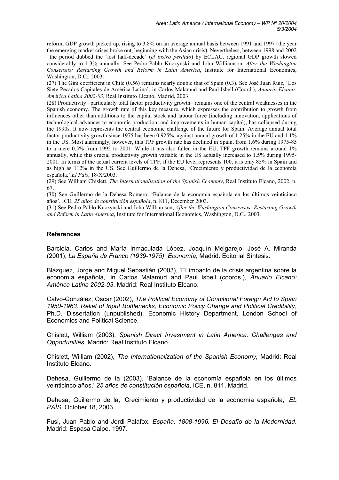reform, GDP growth picked up, rising to 3.8% on an average annual basis between 1991 and 1997 (the year the emerging market crises broke out, beginning with the Asian crisis). Nevertheless, between 1998 and 2002 –the period dubbed the 'lost half-decade' (*el lustro perdido*) by ECLAC, regional GDP growth slowed considerably to 1.3% annually. See Pedro-Pablo Kuczynski and John Williamson, *After the Washington Consensus: Restarting Growth and Reform in Latin America*, Institute for International Economics, Washington, D.C., 2003.

(27) The Gini coefficient in Chile (0.56) remains nearly double that of Spain (0.3). See José Juan Ruiz, 'Los Siete Pecados Capitales de América Latina', in Carlos Malamud and Paul Isbell (Coord.), *Anuario Elcano: América Latina 2002-03*, Real Instituto Elcano, Madrid, 2003.

(28) Productivity –particularly total factor productivity growth– remains one of the central weaknesses in the Spanish economy. The growth rate of this key measure, which expresses the contribution to growth from influences other than additions to the capital stock and labour force (including innovation, applications of technological advances to economic production, and improvements in human capital), has collapsed during the 1990s. It now represents the central economic challenge of the future for Spain. Average annual total factor productivity growth since 1975 has been 0.925%, against annual growth of 1.25% in the EU and 1.1% in the US. Most alarmingly, however, this TPF growth rate has declined in Spain, from 1.6% during 1975-85 to a mere 0.5% from 1995 to 2001. While it has also fallen in the EU, TPF growth remains around 1% annually, while this crucial productivity growth variable in the US actually increased to 1.5% during 1995- 2001. In terms of the actual current levels of TPF, if the EU level represents 100, it is only 85% in Spain and as high as 112% in the US. See Guillermo de la Dehesa, 'Crecimiento y productividad de la economía española,' *El País*, 18/X/2003.

(29) See William Chislett, *The Internationalization of the Spanish Economy*, Real Instituto Elcano, 2002, p. 67.

(30) See Guillermo de la Dehesa Romero, 'Balance de la economía española en los últimos veinticinco años', ICE, *25 años de constitución española*, n. 811, December 2003.

(31) See Pedro-Pablo Kuczynski and John Williamson, *After the Washington Consensus: Restarting Growth and Reform in Latin America*, Institute for International Economics, Washington, D.C., 2003.

#### **References**

Barciela, Carlos and María Inmaculada López, Joaquín Melgarejo, José A. Miranda (2001), *La España de Franco (1939-1975): Economía*, Madrid: Editorial Síntesis.

Blázquez, Jorge and Miguel Sebastián (2003), 'El impacto de la crisis argentina sobre la economía española,' in Carlos Malamud and Paul Isbell (coords.), *Anuario Elcano: América Latina 2002-03*, Madrid: Real Instituto Elcano.

Calvo-González, Oscar (2002), *The Political Economy of Conditional Foreign Aid to Spain 1950-1963: Relief of Input Bottlenecks, Economic Policy Change and Political Credibility*, Ph.D. Dissertation (unpublished), Economic History Department, London School of Economics and Political Science.

Chislett, William (2003), *Spanish Direct Investment in Latin America: Challenges and Opportunities*, Madrid: Real Instituto Elcano.

Chislett, William (2002), *The Internationalization of the Spanish Economy,* Madrid: Real Instituto Elcano.

Dehesa, Guillermo de la (2003). 'Balance de la economía española en los últimos veinticinco años,' *25 años de constitución española*, ICE, n. 811, Madrid.

Dehesa, Guillermo de la, 'Crecimiento y productividad de la economía española,' *EL PAÍS*, October 18, 2003.

Fusi, Juan Pablo and Jordi Palafox, *España: 1808-1996. El Desafío de la Modernidad*. Madrid: Espasa Calpe, 1997.